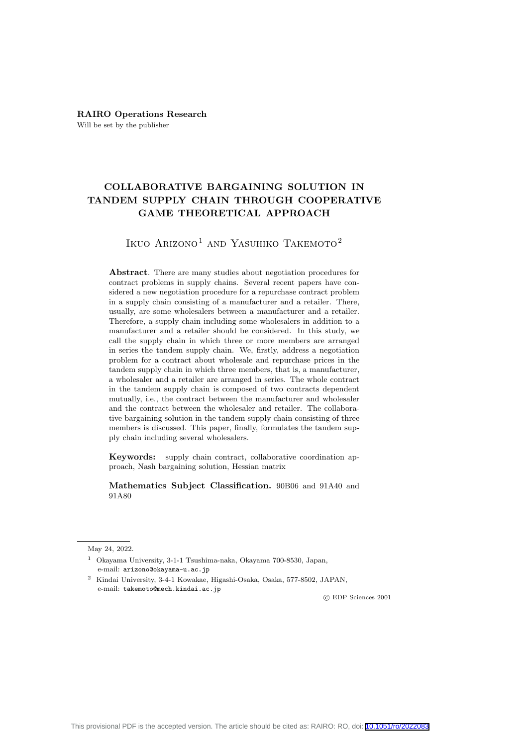# **COLLABORATIVE BARGAINING SOLUTION IN TANDEM SUPPLY CHAIN THROUGH COOPERATIVE GAME THEORETICAL APPROACH**

Ikuo Arizono<sup>1</sup> and Yasuhiko Takemoto<sup>2</sup>

**Abstract**. There are many studies about negotiation procedures for contract problems in supply chains. Several recent papers have considered a new negotiation procedure for a repurchase contract problem in a supply chain consisting of a manufacturer and a retailer. There, usually, are some wholesalers between a manufacturer and a retailer. Therefore, a supply chain including some wholesalers in addition to a manufacturer and a retailer should be considered. In this study, we call the supply chain in which three or more members are arranged in series the tandem supply chain. We, firstly, address a negotiation problem for a contract about wholesale and repurchase prices in the tandem supply chain in which three members, that is, a manufacturer, a wholesaler and a retailer are arranged in series. The whole contract in the tandem supply chain is composed of two contracts dependent mutually, i.e., the contract between the manufacturer and wholesaler and the contract between the wholesaler and retailer. The collaborative bargaining solution in the tandem supply chain consisting of three members is discussed. This paper, finally, formulates the tandem supply chain including several wholesalers.

**Keywords:** supply chain contract, collaborative coordination approach, Nash bargaining solution, Hessian matrix

**Mathematics Subject Classification.** 90B06 and 91A40 and 91A80

*⃝*c EDP Sciences 2001

May 24, 2022.

<sup>1</sup> Okayama University, 3-1-1 Tsushima-naka, Okayama 700-8530, Japan, e-mail: arizono@okayama-u.ac.jp

<sup>2</sup> Kindai University, 3-4-1 Kowakae, Higashi-Osaka, Osaka, 577-8502, JAPAN, e-mail: takemoto@mech.kindai.ac.jp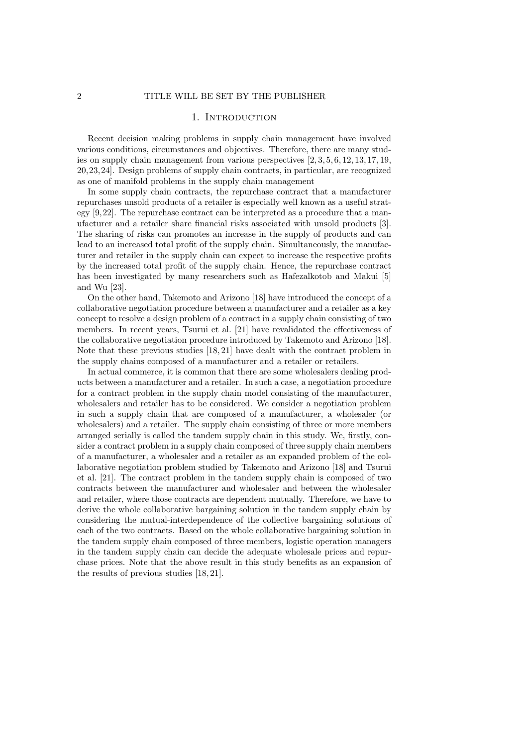#### 1. INTRODUCTION

Recent decision making problems in supply chain management have involved various conditions, circumstances and objectives. Therefore, there are many studies on supply chain management from various perspectives [2, 3, 5, 6, 12, 13, 17, 19, 20,23,24]. Design problems of supply chain contracts, in particular, are recognized as one of manifold problems in the supply chain management

In some supply chain contracts, the repurchase contract that a manufacturer repurchases unsold products of a retailer is especially well known as a useful strategy [9,22]. The repurchase contract can be interpreted as a procedure that a manufacturer and a retailer share financial risks associated with unsold products [3]. The sharing of risks can promotes an increase in the supply of products and can lead to an increased total profit of the supply chain. Simultaneously, the manufacturer and retailer in the supply chain can expect to increase the respective profits by the increased total profit of the supply chain. Hence, the repurchase contract has been investigated by many researchers such as Hafezalkotob and Makui [5] and Wu [23].

On the other hand, Takemoto and Arizono [18] have introduced the concept of a collaborative negotiation procedure between a manufacturer and a retailer as a key concept to resolve a design problem of a contract in a supply chain consisting of two members. In recent years, Tsurui et al. [21] have revalidated the effectiveness of the collaborative negotiation procedure introduced by Takemoto and Arizono [18]. Note that these previous studies [18, 21] have dealt with the contract problem in the supply chains composed of a manufacturer and a retailer or retailers.

In actual commerce, it is common that there are some wholesalers dealing products between a manufacturer and a retailer. In such a case, a negotiation procedure for a contract problem in the supply chain model consisting of the manufacturer, wholesalers and retailer has to be considered. We consider a negotiation problem in such a supply chain that are composed of a manufacturer, a wholesaler (or wholesalers) and a retailer. The supply chain consisting of three or more members arranged serially is called the tandem supply chain in this study. We, firstly, consider a contract problem in a supply chain composed of three supply chain members of a manufacturer, a wholesaler and a retailer as an expanded problem of the collaborative negotiation problem studied by Takemoto and Arizono [18] and Tsurui et al. [21]. The contract problem in the tandem supply chain is composed of two contracts between the manufacturer and wholesaler and between the wholesaler and retailer, where those contracts are dependent mutually. Therefore, we have to derive the whole collaborative bargaining solution in the tandem supply chain by considering the mutual-interdependence of the collective bargaining solutions of each of the two contracts. Based on the whole collaborative bargaining solution in the tandem supply chain composed of three members, logistic operation managers in the tandem supply chain can decide the adequate wholesale prices and repurchase prices. Note that the above result in this study benefits as an expansion of the results of previous studies [18, 21].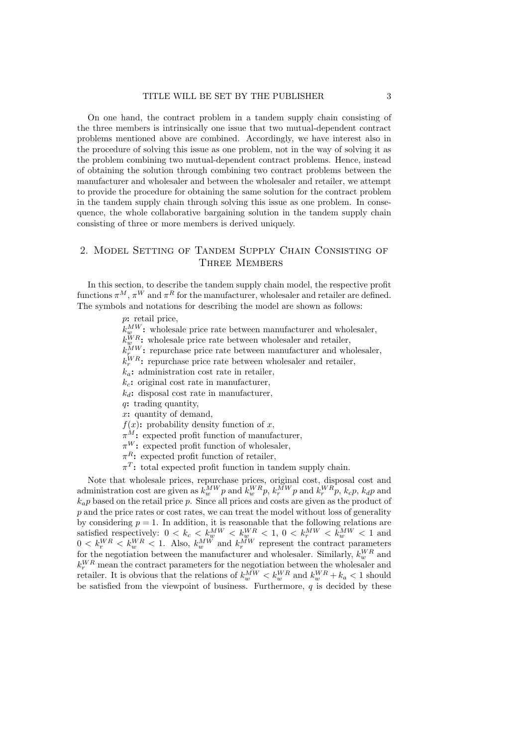On one hand, the contract problem in a tandem supply chain consisting of the three members is intrinsically one issue that two mutual-dependent contract problems mentioned above are combined. Accordingly, we have interest also in the procedure of solving this issue as one problem, not in the way of solving it as the problem combining two mutual-dependent contract problems. Hence, instead of obtaining the solution through combining two contract problems between the manufacturer and wholesaler and between the wholesaler and retailer, we attempt to provide the procedure for obtaining the same solution for the contract problem in the tandem supply chain through solving this issue as one problem. In consequence, the whole collaborative bargaining solution in the tandem supply chain consisting of three or more members is derived uniquely.

#### 2. Model Setting of Tandem Supply Chain Consisting of THREE MEMBERS

In this section, to describe the tandem supply chain model, the respective profit functions  $\pi^M$ ,  $\pi^W$  and  $\pi^R$  for the manufacturer, wholesaler and retailer are defined. The symbols and notations for describing the model are shown as follows:

*p***:** retail price,

 $k_{w}^{MW}$ : wholesale price rate between manufacturer and wholesaler,

 $k_{w}^{WR}$  wholesale price rate between wholesaler and retailer,

 $k_{r}^{MW}$ : repurchase price rate between manufacturer and wholesaler,

 $k_r^{WR}$ : repurchase price rate between wholesaler and retailer,

 $k_a$ **:** administration cost rate in retailer,

*kc***:** original cost rate in manufacturer,

 $k_d$ **:** disposal cost rate in manufacturer,

*q***:** trading quantity,

*x***:** quantity of demand,

 $f(x)$ : probability density function of *x*,

 $\pi^M$ **:** expected profit function of manufacturer,

 $\pi^{W}$ **:** expected profit function of wholesaler,

*π <sup>R</sup>***:** expected profit function of retailer,

*π T* **:** total expected profit function in tandem supply chain.

Note that wholesale prices, repurchase prices, original cost, disposal cost and administration cost are given as  $k_w^{MW}p$  and  $k_w^{WR}p$ ,  $k_r^{MW}p$  and  $k_r^{WR}p$ ,  $k_cp$ ,  $k_dp$  and  $k_a p$  based on the retail price p. Since all prices and costs are given as the product of p and the price rates or cost rates, we can treat the model without loss of generality by considering  $p = 1$ . In addition, it is reasonable that the following relations are satisfied respectively:  $0 < k_c < k_w^{MW} < k_w^{WR} < 1, 0 < k_r^{MW} < k_w^{MW} < 1$  and  $0 \lt k_r^W R \lt k_w^W R \lt 1$ . Also,  $k_w^M$  and  $k_r^M$  represent the contract parameters for the negotiation between the manufacturer and wholesaler. Similarly,  $k_w^{WR}$  and  $k_r^{WR}$  mean the contract parameters for the negotiation between the wholesaler and retailer. It is obvious that the relations of  $k_w^{MW} < k_w^{WR}$  and  $k_w^{WR} + k_a < 1$  should be satisfied from the viewpoint of business. Furthermore, *q* is decided by these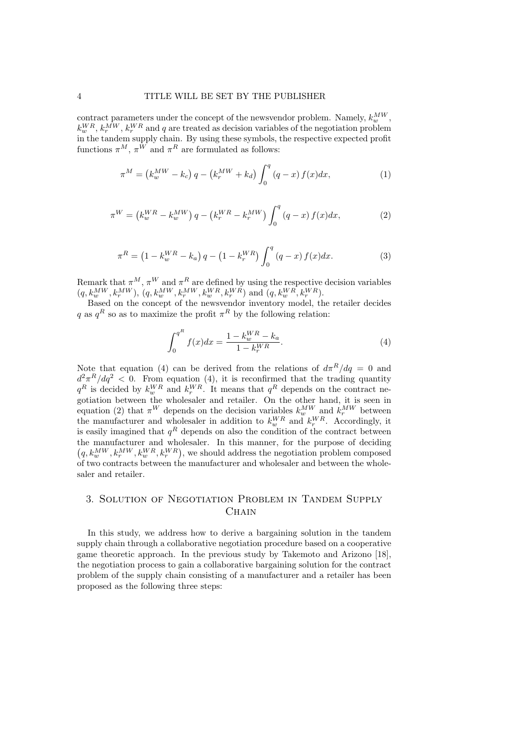contract parameters under the concept of the newsvendor problem. Namely,  $k_w^{MW}$ ,  $k_w^{WR}$ ,  $k_r^{MW}$ ,  $k_r^{WR}$  and *q* are treated as decision variables of the negotiation problem in the tandem supply chain. By using these symbols, the respective expected profit functions  $\pi^M$ ,  $\pi^W$  and  $\pi^R$  are formulated as follows:

$$
\pi^{M} = (k_{w}^{MW} - k_{c}) q - (k_{r}^{MW} + k_{d}) \int_{0}^{q} (q - x) f(x) dx,
$$
\n(1)

$$
\pi^{W} = (k_{w}^{WR} - k_{w}^{MW})q - (k_{r}^{WR} - k_{r}^{MW}) \int_{0}^{q} (q - x) f(x) dx, \qquad (2)
$$

$$
\pi^{R} = \left(1 - k_{w}^{WR} - k_{a}\right)q - \left(1 - k_{r}^{WR}\right)\int_{0}^{q}\left(q - x\right)f(x)dx.
$$
\n(3)

Remark that  $\pi^M$ ,  $\pi^W$  and  $\pi^R$  are defined by using the respective decision variables  $(q, k_w^{MW}, k_r^{MW}), (q, k_w^{MW}, k_r^{MW}, k_w^{WR}, k_r^{WR})$  and  $(q, k_w^{WR}, k_r^{WR})$ .

Based on the concept of the newsvendor inventory model, the retailer decides *q* as  $q^R$  so as to maximize the profit  $\pi^R$  by the following relation:

$$
\int_{0}^{q^{R}} f(x)dx = \frac{1 - k_{w}^{WR} - k_{a}}{1 - k_{r}^{WR}}.
$$
\n(4)

Note that equation (4) can be derived from the relations of  $d\pi^R/dq = 0$  and  $d^2 \pi^R / dq^2$  < 0. From equation (4), it is reconfirmed that the trading quantity  $q<sup>R</sup>$  is decided by  $k<sub>w</sub><sup>WR</sup>$  and  $k<sub>r</sub><sup>WR</sup>$ . It means that  $q<sup>R</sup>$  depends on the contract negotiation between the wholesaler and retailer. On the other hand, it is seen in equation (2) that  $\pi^{W}$  depends on the decision variables  $k_w^{MW}$  and  $k_r^{MW}$  between the manufacturer and wholesaler in addition to  $k_w^{WR}$  and  $k_r^{WR}$ . Accordingly, it is easily imagined that  $q<sup>R</sup>$  depends on also the condition of the contract between the manufacturer and wholesaler. In this manner, for the purpose of deciding  $(q, k_w^{MW}, k_r^{WW}, k_w^{WR}, k_r^{WR})$ , we should address the negotiation problem composed of two contracts between the manufacturer and wholesaler and between the wholesaler and retailer.

## 3. Solution of Negotiation Problem in Tandem Supply Chain

In this study, we address how to derive a bargaining solution in the tandem supply chain through a collaborative negotiation procedure based on a cooperative game theoretic approach. In the previous study by Takemoto and Arizono [18], the negotiation process to gain a collaborative bargaining solution for the contract problem of the supply chain consisting of a manufacturer and a retailer has been proposed as the following three steps: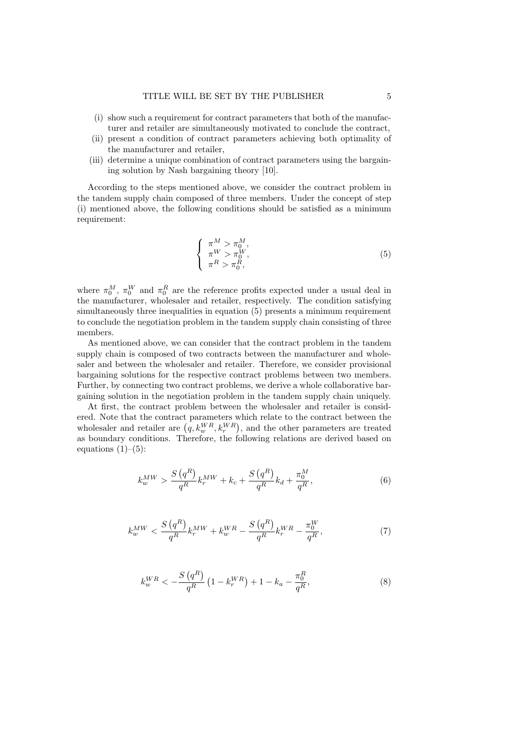- (i) show such a requirement for contract parameters that both of the manufacturer and retailer are simultaneously motivated to conclude the contract,
- (ii) present a condition of contract parameters achieving both optimality of the manufacturer and retailer,
- (iii) determine a unique combination of contract parameters using the bargaining solution by Nash bargaining theory [10].

According to the steps mentioned above, we consider the contract problem in the tandem supply chain composed of three members. Under the concept of step (i) mentioned above, the following conditions should be satisfied as a minimum requirement:

$$
\begin{cases}\n\pi^M > \pi_0^M, \\
\pi^W > \pi_0^W, \\
\pi^R > \pi_0^R,\n\end{cases} \tag{5}
$$

where  $\pi_0^M$ ,  $\pi_0^W$  and  $\pi_0^R$  are the reference profits expected under a usual deal in the manufacturer, wholesaler and retailer, respectively. The condition satisfying simultaneously three inequalities in equation (5) presents a minimum requirement to conclude the negotiation problem in the tandem supply chain consisting of three members.

As mentioned above, we can consider that the contract problem in the tandem supply chain is composed of two contracts between the manufacturer and wholesaler and between the wholesaler and retailer. Therefore, we consider provisional bargaining solutions for the respective contract problems between two members. Further, by connecting two contract problems, we derive a whole collaborative bargaining solution in the negotiation problem in the tandem supply chain uniquely.

At first, the contract problem between the wholesaler and retailer is considered. Note that the contract parameters which relate to the contract between the wholesaler and retailer are  $(q, k_w^{WR}, k_r^{WR})$ , and the other parameters are treated as boundary conditions. Therefore, the following relations are derived based on equations  $(1)$ – $(5)$ :

$$
k_w^{MW} > \frac{S(q^R)}{q^R} k_r^{MW} + k_c + \frac{S(q^R)}{q^R} k_d + \frac{\pi_0^M}{q^R},
$$
\n(6)

$$
k_w^{MW} < \frac{S\left(q^R\right)}{q^R} k_r^{MW} + k_w^{WR} - \frac{S\left(q^R\right)}{q^R} k_r^{WR} - \frac{\pi_0^W}{q^R},\tag{7}
$$

$$
k_w^{WR} < -\frac{S\left(q^R\right)}{q^R} \left(1 - k_r^{WR}\right) + 1 - k_a - \frac{\pi_0^R}{q^R},\tag{8}
$$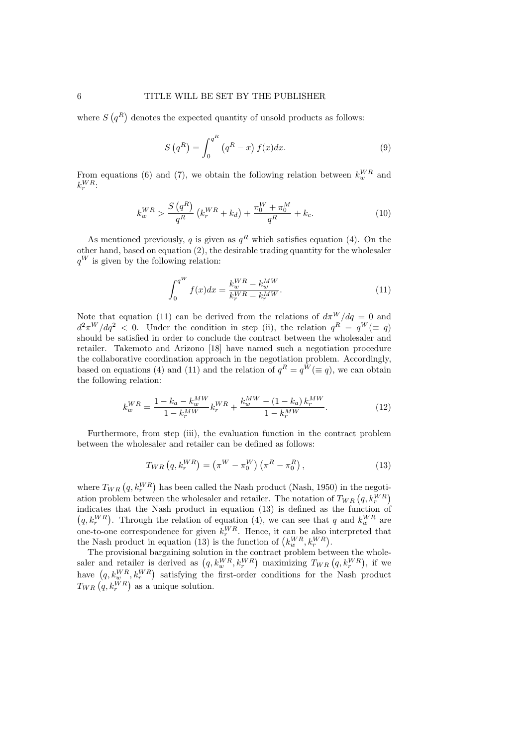where  $S(q^R)$  denotes the expected quantity of unsold products as follows:

$$
S\left(q^R\right) = \int_0^{q^R} \left(q^R - x\right) f(x) dx.
$$
 (9)

From equations (6) and (7), we obtain the following relation between  $k_w^{WR}$  and  $k_r^{WR}$ 

$$
k_w^{WR} > \frac{S\left(q^R\right)}{q^R}\left(k_r^{WR} + k_d\right) + \frac{\pi_0^W + \pi_0^M}{q^R} + k_c. \tag{10}
$$

As mentioned previously, *q* is given as  $q<sup>R</sup>$  which satisfies equation (4). On the other hand, based on equation (2), the desirable trading quantity for the wholesaler  $q^W$  is given by the following relation:

$$
\int_{0}^{q^{W}} f(x)dx = \frac{k_{w}^{WR} - k_{w}^{MW}}{k_{r}^{WR} - k_{r}^{MW}}.
$$
\n(11)

Note that equation (11) can be derived from the relations of  $d\pi^{W}/dq = 0$  and  $d^2 \pi^W / dq^2$  < 0. Under the condition in step (ii), the relation  $q^R = q^W (\equiv q)$ should be satisfied in order to conclude the contract between the wholesaler and retailer. Takemoto and Arizono [18] have named such a negotiation procedure the collaborative coordination approach in the negotiation problem. Accordingly, based on equations (4) and (11) and the relation of  $q^R = q^W (\equiv q)$ , we can obtain the following relation:

$$
k_w^{WR} = \frac{1 - k_a - k_w^{MW}}{1 - k_r^{MW}} k_r^{WR} + \frac{k_w^{MW} - (1 - k_a) k_r^{MW}}{1 - k_r^{MW}}.
$$
\n(12)

Furthermore, from step (iii), the evaluation function in the contract problem between the wholesaler and retailer can be defined as follows:

$$
T_{WR}\left(q, k_r^{WR}\right) = \left(\pi^W - \pi_0^W\right)\left(\pi^R - \pi_0^R\right),\tag{13}
$$

where  $T_{WR} (q, k_r^{WR})$  has been called the Nash product (Nash, 1950) in the negotiation problem between the wholesaler and retailer. The notation of  $T_{WR} (q, k_r^{WR})$ indicates that the Nash product in equation  $(13)$  is defined as the function of  $(q, k_r^{WR})$ . Through the relation of equation (4), we can see that *q* and  $k_w^{WR}$  are one-to-one correspondence for given  $k_r^{WR}$ . Hence, it can be also interpreted that the Nash product in equation (13) is the function of  $(k_w^{WR}, k_r^{WR})$ .

The provisional bargaining solution in the contract problem between the wholesaler and retailer is derived as  $(q, k_w^{WR}, k_r^{WR})$  maximizing  $T_{WR}(q, k_r^{WR})$ , if we have  $(q, k_w^{WR}, k_r^{WR})$  satisfying the first-order conditions for the Nash product  $T_{WR} (q, k_r^{WR})$  as a unique solution.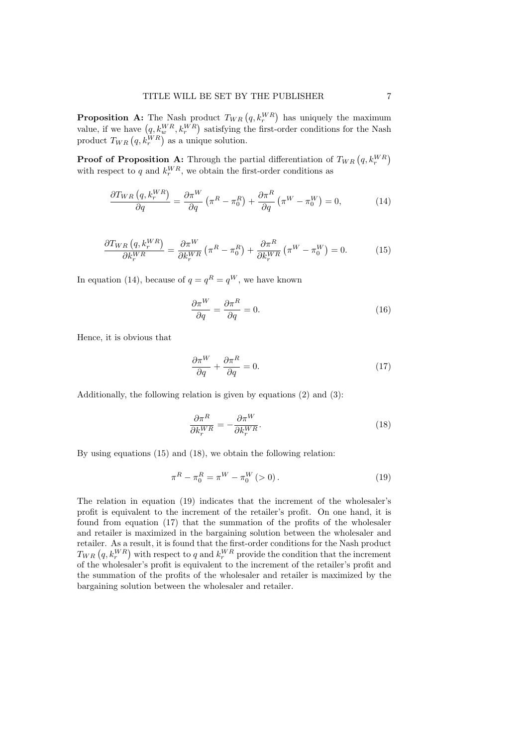**Proposition A:** The Nash product  $T_{WR} (q, k_r^{WR})$  has uniquely the maximum *r rv***s**, *r***<sub>***i***</sub>** *i***<sub>***k***</sub>** *w***<sup>***n***</sup><sub>***k***</sub>** *<i>m***<sub>***n***</sub>** *<i>n***<sub>***n***</sub>** *<i>n***<sub>***n***</sub>** *<i>n***<sub>***n***</sub>** *<i>n***<sub>***n***</sub>** *<i>n***<sub>***n***</sub>** *<i>n***<sub>***n***</sub>** *<i>n***<sub>***n***</sub>** *<i>n***<sub>***n***</sub>** *<i>n***<sub>***n***</sub>** *<i>n***<sub>***n***</sub>** *<i>n***<sub>***n***</sub>** *<i>n***<sub>***n***</sub>** *<i>n***<sub>***n***</sub>** *<i>n***<sub>***n***</sub>** product  $T_{WR} (q, k_r^{WR})$  as a unique solution.

**Proof of Proposition A:** Through the partial differentiation of  $T_{WR} (q, k_r^{WR})$ with respect to  $q$  and  $k_r^{WR}$ , we obtain the first-order conditions as

$$
\frac{\partial T_{WR}\left(q, k_r^{WR}\right)}{\partial q} = \frac{\partial \pi^W}{\partial q} \left(\pi^R - \pi_0^R\right) + \frac{\partial \pi^R}{\partial q} \left(\pi^W - \pi_0^W\right) = 0,\tag{14}
$$

$$
\frac{\partial T_{WR}\left(q, k_r^{WR}\right)}{\partial k_r^{WR}} = \frac{\partial \pi^W}{\partial k_r^{WR}}\left(\pi^R - \pi_0^R\right) + \frac{\partial \pi^R}{\partial k_r^{WR}}\left(\pi^W - \pi_0^W\right) = 0. \tag{15}
$$

In equation (14), because of  $q = q^R = q^W$ , we have known

$$
\frac{\partial \pi^W}{\partial q} = \frac{\partial \pi^R}{\partial q} = 0.
$$
\n(16)

Hence, it is obvious that

$$
\frac{\partial \pi^W}{\partial q} + \frac{\partial \pi^R}{\partial q} = 0.
$$
\n(17)

Additionally, the following relation is given by equations (2) and (3):

$$
\frac{\partial \pi^R}{\partial k_r^{WR}} = -\frac{\partial \pi^W}{\partial k_r^{WR}}.\tag{18}
$$

By using equations (15) and (18), we obtain the following relation:

$$
\pi^R - \pi_0^R = \pi^W - \pi_0^W > 0\text{)}\,. \tag{19}
$$

The relation in equation (19) indicates that the increment of the wholesaler's profit is equivalent to the increment of the retailer's profit. On one hand, it is found from equation (17) that the summation of the profits of the wholesaler and retailer is maximized in the bargaining solution between the wholesaler and retailer. As a result, it is found that the first-order conditions for the Nash product  $T_{WR}\left(q, k_{r}^{WR}\right)$  with respect to *q* and  $k_{r}^{WR}$  provide the condition that the increment of the wholesaler's profit is equivalent to the increment of the retailer's profit and the summation of the profits of the wholesaler and retailer is maximized by the bargaining solution between the wholesaler and retailer.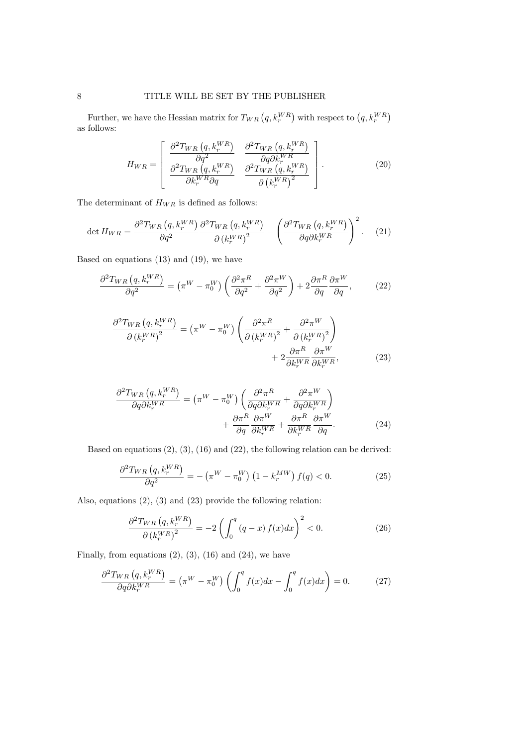Further, we have the Hessian matrix for  $T_{WR} (q, k_r^{WR})$  with respect to  $(q, k_r^{WR})$ as follows:

$$
H_{WR} = \begin{bmatrix} \frac{\partial^2 T_{WR} (q, k_r^{WR})}{\partial q^2} & \frac{\partial^2 T_{WR} (q, k_r^{WR})}{\partial q \partial k_r^{WR}} \\ \frac{\partial^2 T_{WR} (q, k_r^{WR})}{\partial k_r^{WR} \partial q} & \frac{\partial^2 T_{WR} (q, k_r^{WR})}{\partial (k_r^{WR})^2} \end{bmatrix} .
$$
 (20)

The determinant of  ${\cal H}_{WR}$  is defined as follows:

$$
\det H_{WR} = \frac{\partial^2 T_{WR} \left( q, k_r^{WR} \right)}{\partial q^2} \frac{\partial^2 T_{WR} \left( q, k_r^{WR} \right)}{\partial \left( k_r^{WR} \right)^2} - \left( \frac{\partial^2 T_{WR} \left( q, k_r^{WR} \right)}{\partial q \partial k_r^{WR}} \right)^2. \tag{21}
$$

Based on equations (13) and (19), we have

$$
\frac{\partial^2 T_{WR} (q, k_r^{WR})}{\partial q^2} = (\pi^W - \pi_0^W) \left( \frac{\partial^2 \pi^R}{\partial q^2} + \frac{\partial^2 \pi^W}{\partial q^2} \right) + 2 \frac{\partial \pi^R}{\partial q} \frac{\partial \pi^W}{\partial q},\tag{22}
$$

$$
\frac{\partial^2 T_{WR} (q, k_r^{WR})}{\partial (k_r^{WR})^2} = (\pi^W - \pi_0^W) \left( \frac{\partial^2 \pi^R}{\partial (k_r^{WR})^2} + \frac{\partial^2 \pi^W}{\partial (k_r^{WR})^2} \right) + 2 \frac{\partial \pi^R}{\partial k_r^{WR}} \frac{\partial \pi^W}{\partial k_r^{WR}},
$$
(23)

$$
\frac{\partial^2 T_{WR} (q, k_r^{WR})}{\partial q \partial k_r^{WR}} = (\pi^W - \pi_0^W) \left( \frac{\partial^2 \pi^R}{\partial q \partial k_r^{WR}} + \frac{\partial^2 \pi^W}{\partial q \partial k_r^{WR}} \right) + \frac{\partial \pi^R}{\partial q} \frac{\partial \pi^W}{\partial k_r^{WR}} + \frac{\partial \pi^R}{\partial k_r^{WR}} \frac{\partial \pi^W}{\partial q}. \tag{24}
$$

Based on equations (2), (3), (16) and (22), the following relation can be derived:

$$
\frac{\partial^2 T_{WR}\left(q, k_r^{WR}\right)}{\partial q^2} = -\left(\pi^W - \pi_0^W\right)\left(1 - k_r^{MW}\right)f(q) < 0. \tag{25}
$$

Also, equations (2), (3) and (23) provide the following relation:

$$
\frac{\partial^2 T_{WR}\left(q, k_r^{WR}\right)}{\partial \left(k_r^{WR}\right)^2} = -2\left(\int_0^q \left(q-x\right)f(x)dx\right)^2 < 0. \tag{26}
$$

Finally, from equations  $(2)$ ,  $(3)$ ,  $(16)$  and  $(24)$ , we have

$$
\frac{\partial^2 T_{WR}\left(q, k_r^{WR}\right)}{\partial q \partial k_r^{WR}} = \left(\pi^W - \pi_0^W\right) \left(\int_0^q f(x)dx - \int_0^q f(x)dx\right) = 0. \tag{27}
$$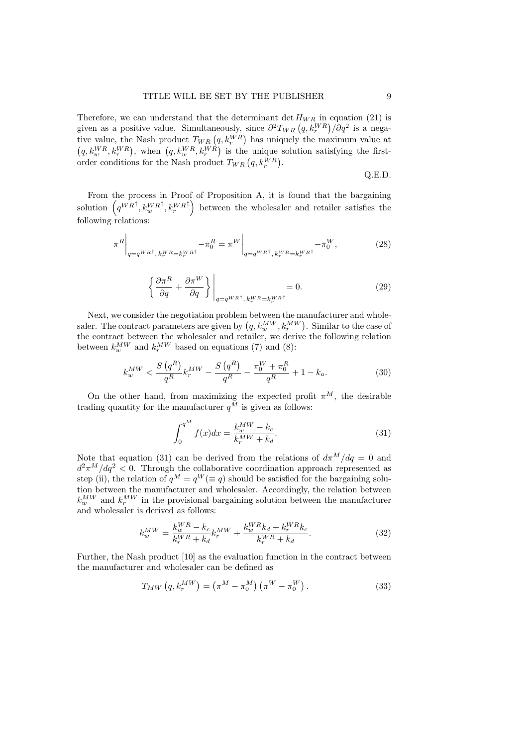Therefore, we can understand that the determinant det  $H_{WR}$  in equation (21) is given as a positive value. Simultaneously, since  $\partial^2 T_{WR} (q, k_r^{WR}) / \partial q^2$  is a negagiven as a positive value. Simultaneously, since  $\sigma$   $I_{WR}$   $(q, \kappa_r$  // $\sigma$  is a negative value, the Nash product  $T_{WR}$   $(q, \kappa_r^{WR})$  has uniquely the maximum value at  $(q, k_w^{WR}, k_r^{WR})$ , when  $(q, k_w^{WR}, k_r^{WR})$  is the unique solution satisfying the firstorder conditions for the Nash product  $T_{WR} (q, k_r^{WR})$ .

Q.E.D.

From the process in Proof of Proposition A, it is found that the bargaining solution  $(q^{W R^{\dagger}}, k_w^{W R^{\dagger}}, k_r^{W R^{\dagger}})$  between the wholesaler and retailer satisfies the following relations:

$$
\pi^{R}\Big|_{q=q^{WR^{\dagger}},k_{r}^{WR}=k_{r}^{WR^{\dagger}}} - \pi_{0}^{R} = \pi^{W}\Big|_{q=q^{WR^{\dagger}},k_{r}^{WR}=k_{r}^{WR^{\dagger}}} - \pi_{0}^{W},
$$
\n(28)

$$
\left\{\frac{\partial \pi^R}{\partial q} + \frac{\partial \pi^W}{\partial q}\right\}\Big|_{q=q^{WR^\dagger}, k_r^{WR} = k_r^{WR^\dagger}} = 0.
$$
\n(29)

Next, we consider the negotiation problem between the manufacturer and wholesaler. The contract parameters are given by  $(q, k_w^{MW}, k_r^{MW})$ . Similar to the case of the contract between the wholesaler and retailer, we derive the following relation between  $k_w^{MW}$  and  $k_r^{MW}$  based on equations (7) and (8):

$$
k_w^{MW} < \frac{S\left(q^R\right)}{q^R} k_r^{MW} - \frac{S\left(q^R\right)}{q^R} - \frac{\pi_0^W + \pi_0^R}{q^R} + 1 - k_a. \tag{30}
$$

On the other hand, from maximizing the expected profit  $\pi^M$ , the desirable trading quantity for the manufacturer  $q^{\tilde{M}}$  is given as follows:

$$
\int_{0}^{q^{M}} f(x)dx = \frac{k_{w}^{MW} - k_{c}}{k_{r}^{MW} + k_{d}}.
$$
\n(31)

Note that equation (31) can be derived from the relations of  $d\pi^M/dq = 0$  and  $d^2\pi^M/dq^2 < 0$ . Through the collaborative coordination approach represented as step (ii), the relation of  $q^M = q^W (\equiv q)$  should be satisfied for the bargaining solution between the manufacturer and wholesaler. Accordingly, the relation between  $k_w^{MW}$  and  $k_r^{MW}$  in the provisional bargaining solution between the manufacturer and wholesaler is derived as follows:

$$
k_w^{MW} = \frac{k_w^{WR} - k_c}{k_r^{WR} + k_d} k_r^{MW} + \frac{k_w^{WR}k_d + k_r^{WR}k_c}{k_r^{WR} + k_d}.
$$
\n(32)

Further, the Nash product [10] as the evaluation function in the contract between the manufacturer and wholesaler can be defined as

$$
T_{MW}(q, k_r^{MW}) = (\pi^M - \pi_0^M) (\pi^W - \pi_0^W).
$$
\n(33)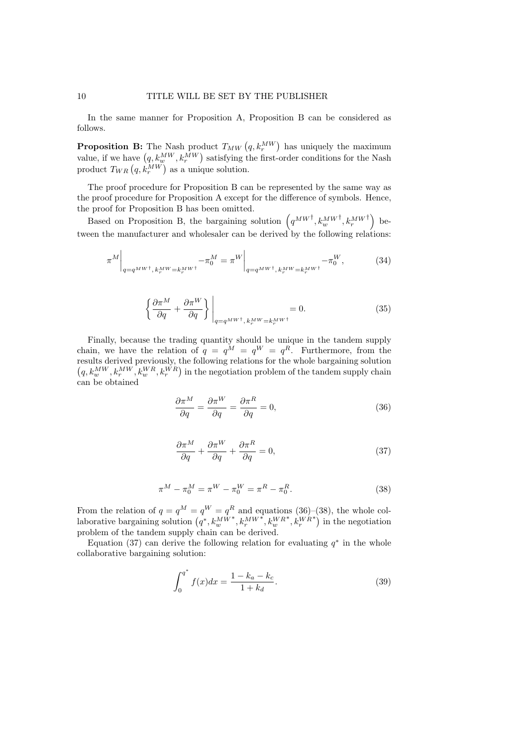In the same manner for Proposition A, Proposition B can be considered as follows.

**Proposition B:** The Nash product  $T_{MW}(q, k_r^{MW})$  has uniquely the maximum value, if we have  $(q, k_w^{MW}, k_r^{MW})$  satisfying the first-order conditions for the Nash product  $T_{WR} (q, k_r^{MW})$  as a unique solution.

The proof procedure for Proposition B can be represented by the same way as the proof procedure for Proposition A except for the difference of symbols. Hence, the proof for Proposition B has been omitted.

Based on Proposition B, the bargaining solution  $(q^{MW^{\dagger}}, k_w^{MW^{\dagger}}, k_r^{MW^{\dagger}})$  between the manufacturer and wholesaler can be derived by the following relations:

$$
\pi^{M}\Big|_{q=q^{MW^{\dagger},k_{r}^{MW}=\kappa_{r}^{MW^{\dagger}}}} - \pi_{0}^{M} = \pi^{W}\Big|_{q=q^{MW^{\dagger},k_{r}^{MW}=\kappa_{r}^{MW^{\dagger}}}} - \pi_{0}^{W},\tag{34}
$$

$$
\left\{\frac{\partial \pi^M}{\partial q} + \frac{\partial \pi^W}{\partial q}\right\}\Big|_{q=q^{MW^\dagger},\,k_r^{MW} = k_r^{MW^\dagger}} = 0. \tag{35}
$$

Finally, because the trading quantity should be unique in the tandem supply chain, we have the relation of  $q = q^M = q^W = q^R$ . Furthermore, from the results derived previously, the following relations for the whole bargaining solution  $(q, k_w^{MW}, k_r^{WW}, k_w^{WR}, k_r^{WR})$  in the negotiation problem of the tandem supply chain can be obtained

$$
\frac{\partial \pi^M}{\partial q} = \frac{\partial \pi^W}{\partial q} = \frac{\partial \pi^R}{\partial q} = 0,
$$
\n(36)

$$
\frac{\partial \pi^M}{\partial q} + \frac{\partial \pi^W}{\partial q} + \frac{\partial \pi^R}{\partial q} = 0, \tag{37}
$$

$$
\pi^M - \pi_0^M = \pi^W - \pi_0^W = \pi^R - \pi_0^R. \tag{38}
$$

From the relation of  $q = q^M = q^W = q^R$  and equations (36)–(38), the whole collaborative bargaining solution  $(q^*, k_w^{MW^*}, k_r^{MW^*}, k_w^{WR^*}, k_r^{WR^*})$  in the negotiation problem of the tandem supply chain can be derived.

Equation (37) can derive the following relation for evaluating  $q^*$  in the whole collaborative bargaining solution:

$$
\int_{0}^{q^{*}} f(x)dx = \frac{1 - k_{a} - k_{c}}{1 + k_{d}}.
$$
\n(39)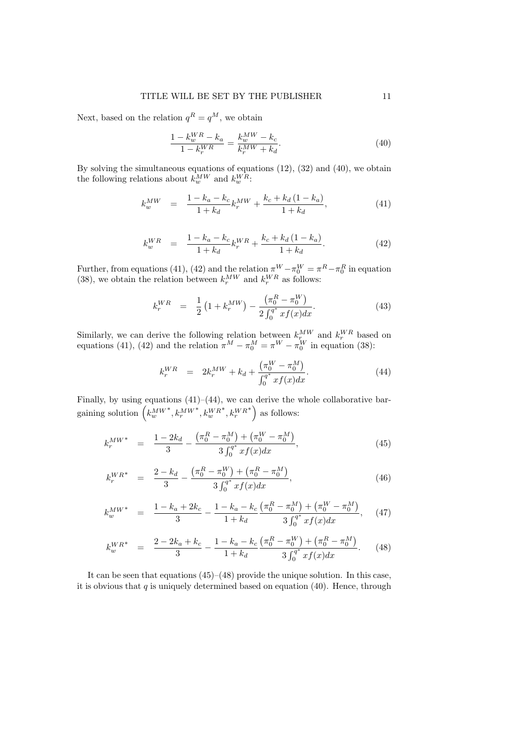Next, based on the relation  $q^R = q^M$ , we obtain

$$
\frac{1 - k_w^{WR} - k_a}{1 - k_r^{WR}} = \frac{k_w^{MW} - k_c}{k_r^{MW} + k_d}.
$$
\n(40)

By solving the simultaneous equations of equations (12), (32) and (40), we obtain the following relations about  $k_w^{MW}$  and  $k_w^{WR}$ :

$$
k_w^{MW} = \frac{1 - k_a - k_c}{1 + k_d} k_r^{MW} + \frac{k_c + k_d (1 - k_a)}{1 + k_d},
$$
\n(41)

$$
k_w^{WR} = \frac{1 - k_a - k_c}{1 + k_d} k_r^{WR} + \frac{k_c + k_d (1 - k_a)}{1 + k_d}.
$$
 (42)

Further, from equations (41), (42) and the relation  $\pi^{W} - \pi_{0}^{W} = \pi^{R} - \pi_{0}^{R}$  in equation (38), we obtain the relation between  $k_r^{MW}$  and  $k_r^{WR}$  as follows:

$$
k_r^{WR} = \frac{1}{2} \left( 1 + k_r^{MW} \right) - \frac{\left( \pi_0^R - \pi_0^W \right)}{2 \int_0^{q^*} x f(x) dx}.
$$
 (43)

Similarly, we can derive the following relation between  $k_r^{MW}$  and  $k_r^{WR}$  based on equations (41), (42) and the relation  $\pi^M - \pi_0^M = \pi^W - \pi_0^W$  in equation (38):

$$
k_r^{WR} = 2k_r^{MW} + k_d + \frac{(\pi_0^W - \pi_0^M)}{\int_0^a x f(x) dx}.
$$
 (44)

Finally, by using equations  $(41)$ – $(44)$ , we can derive the whole collaborative bar- $\left(k_w^{MW^*, k_n^{MW^*, k_w^{WR^*, k_w^{WR^*}}}\right)$  as follows:

$$
k_r^{MW*} = \frac{1 - 2k_d}{3} - \frac{\left(\pi_0^R - \pi_0^M\right) + \left(\pi_0^W - \pi_0^M\right)}{3\int_0^{q^*} x f(x) dx},\tag{45}
$$

$$
k_r^{WR^*} = \frac{2 - k_d}{3} - \frac{\left(\pi_0^R - \pi_0^W\right) + \left(\pi_0^R - \pi_0^M\right)}{3\int_0^{q^*} x f(x) dx},\tag{46}
$$

$$
k_w^{MW^*} = \frac{1 - k_a + 2k_c}{3} - \frac{1 - k_a - k_c}{1 + k_d} \frac{\left(\pi_0^R - \pi_0^M\right) + \left(\pi_0^W - \pi_0^M\right)}{3\int_0^{q^*} x f(x) dx},\tag{47}
$$

$$
k_{w}^{WR^{*}} = \frac{2 - 2k_{a} + k_{c}}{3} - \frac{1 - k_{a} - k_{c}}{1 + k_{d}} \frac{\left(\pi_{0}^{R} - \pi_{0}^{W}\right) + \left(\pi_{0}^{R} - \pi_{0}^{M}\right)}{3 \int_{0}^{4^{*}} x f(x) dx}.
$$
 (48)

It can be seen that equations (45)–(48) provide the unique solution. In this case, it is obvious that  $q$  is uniquely determined based on equation  $(40)$ . Hence, through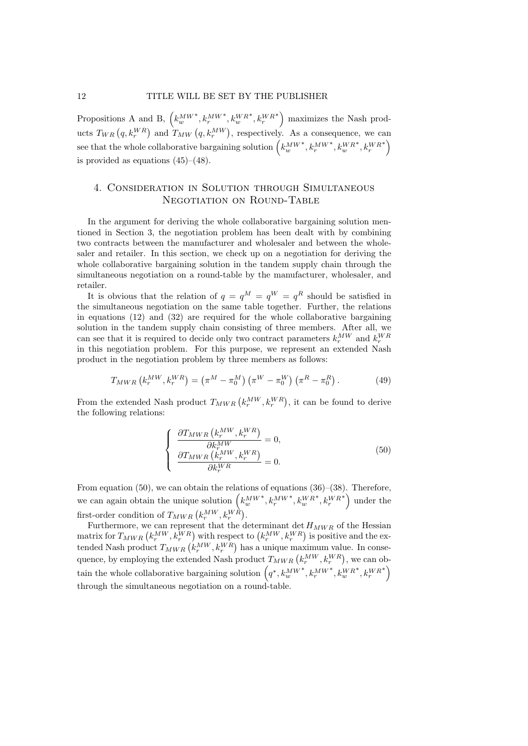Propositions A and B,  $(k_w^{MW*}, k_r^{MW*}, k_w^{WR*}, k_r^{WR*})$  maximizes the Nash products  $T_{WR}(q, k_r^{WR})$  and  $T_{MW}(q, k_r^{MW})$ , respectively. As a consequence, we can  $\mathbf{e} = \text{that the whole collaborative bargaining solution } \left( k_w^{MW*}, k_r^{MW*}, k_w^{WR^*}, k_r^{WR^*} \right)$ is provided as equations (45)–(48).

#### 4. Consideration in Solution through Simultaneous NEGOTIATION ON ROUND-TABLE

In the argument for deriving the whole collaborative bargaining solution mentioned in Section 3, the negotiation problem has been dealt with by combining two contracts between the manufacturer and wholesaler and between the wholesaler and retailer. In this section, we check up on a negotiation for deriving the whole collaborative bargaining solution in the tandem supply chain through the simultaneous negotiation on a round-table by the manufacturer, wholesaler, and retailer.

It is obvious that the relation of  $q = q^M = q^W = q^R$  should be satisfied in the simultaneous negotiation on the same table together. Further, the relations in equations  $(12)$  and  $(32)$  are required for the whole collaborative bargaining solution in the tandem supply chain consisting of three members. After all, we can see that it is required to decide only two contract parameters  $k_r^{MW}$  and  $k_r^{WR}$ in this negotiation problem. For this purpose, we represent an extended Nash product in the negotiation problem by three members as follows:

$$
T_{MWR} (k_r^{MW}, k_r^{WR}) = (\pi^M - \pi_0^M) (\pi^W - \pi_0^W) (\pi^R - \pi_0^R).
$$
 (49)

From the extended Nash product  $T_{MWR}$   $(k_r^{MW}, k_r^{WR})$ , it can be found to derive the following relations:

$$
\begin{cases}\n\frac{\partial T_{MWR}\left(k_r^{MW}, k_r^{WR}\right)}{\partial k_r^{MW}} = 0, \\
\frac{\partial T_{MWR}\left(k_r^{MW}, k_r^{WR}\right)}{\partial k_r^{WR}} = 0.\n\end{cases} \tag{50}
$$

From equation (50), we can obtain the relations of equations (36)–(38). Therefore, we can again obtain the unique solution  $(k_w^M w^*, k_r^M w^*, k_w^W R^*, k_r^W R^*)$  under the first-order condition of  $T_{MWR}$   $(k_r^{MW}, k_r^{WR})$ .

Furthermore, we can represent that the determinant det  $H_{MWR}$  of the Hessian  $\text{matrix for } T_{MWR} \left( k_r^{MW}, k_r^{WR} \right) \text{ with respect to } \left( k_r^{MW}, k_r^{WR} \right) \text{ is positive and the ex-}$ tended Nash product  $T_{MWR}$   $(k_r^{MW}, k_r^{WR})$  has a unique maximum value. In consequence, by employing the extended Nash product  $T_{MWR}$   $(k_r^{MW}, k_r^{WR})$ , we can ob- $\left(q^*, k_w^{MW^*}, k_r^{MW^*}, k_w^{WR^*}, k_r^{WR^*}\right)$ through the simultaneous negotiation on a round-table.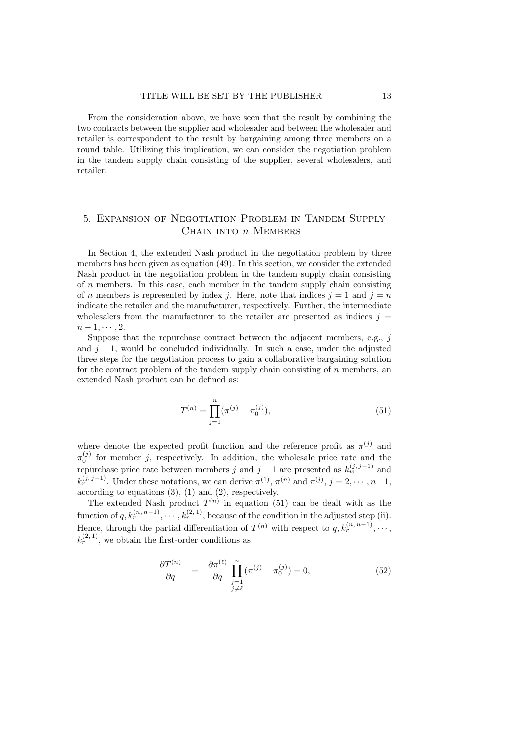From the consideration above, we have seen that the result by combining the two contracts between the supplier and wholesaler and between the wholesaler and retailer is correspondent to the result by bargaining among three members on a round table. Utilizing this implication, we can consider the negotiation problem in the tandem supply chain consisting of the supplier, several wholesalers, and retailer.

### 5. Expansion of Negotiation Problem in Tandem Supply Chain into *n* Members

In Section 4, the extended Nash product in the negotiation problem by three members has been given as equation (49). In this section, we consider the extended Nash product in the negotiation problem in the tandem supply chain consisting of *n* members. In this case, each member in the tandem supply chain consisting of *n* members is represented by index *j*. Here, note that indices  $j = 1$  and  $j = n$ indicate the retailer and the manufacturer, respectively. Further, the intermediate wholesalers from the manufacturer to the retailer are presented as indices  $j =$ *n* − 1, · · · , 2.

Suppose that the repurchase contract between the adjacent members, e.g., *j* and *j −* 1, would be concluded individually. In such a case, under the adjusted three steps for the negotiation process to gain a collaborative bargaining solution for the contract problem of the tandem supply chain consisting of *n* members, an extended Nash product can be defined as:

$$
T^{(n)} = \prod_{j=1}^{n} (\pi^{(j)} - \pi_0^{(j)}),
$$
\n(51)

where denote the expected profit function and the reference profit as  $\pi^{(j)}$  and  $\pi_0^{(j)}$  for member *j*, respectively. In addition, the wholesale price rate and the repurchase price rate between members *j* and  $j-1$  are presented as  $k_w^{(j,j-1)}$  and  $k_r^{(j, j-1)}$ . Under these notations, we can derive  $\pi^{(1)}$ ,  $\pi^{(n)}$  and  $\pi^{(j)}$ ,  $j = 2, \dots, n-1$ , according to equations (3), (1) and (2), respectively.

The extended Nash product  $T^{(n)}$  in equation (51) can be dealt with as the function of  $q, k_r^{(n, n-1)}, \cdots, k_r^{(2, 1)}$ , because of the condition in the adjusted step (ii). Hence, through the partial differentiation of  $T^{(n)}$  with respect to  $q, k_r^{(n, n-1)}, \cdots$  $k_r^{(2,1)}$ , we obtain the first-order conditions as

$$
\frac{\partial T^{(n)}}{\partial q} = \frac{\partial \pi^{(\ell)}}{\partial q} \prod_{\substack{j=1 \ j \neq \ell}}^{n} (\pi^{(j)} - \pi_0^{(j)}) = 0,
$$
\n(52)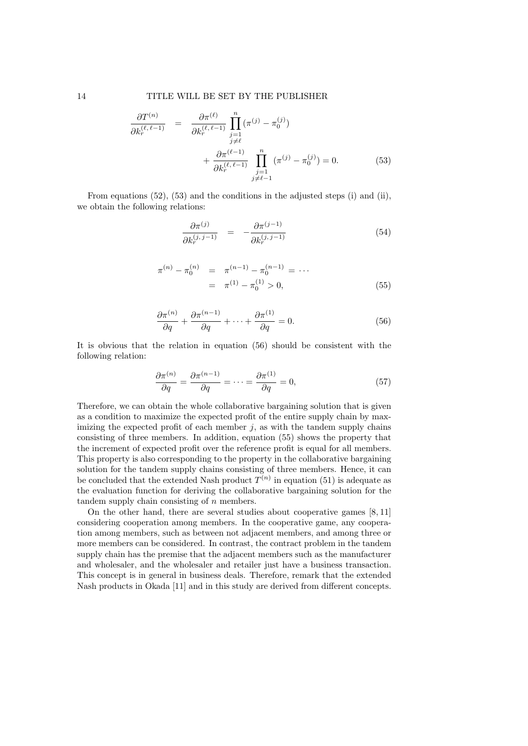$$
\frac{\partial T^{(n)}}{\partial k_r^{(\ell,\ell-1)}} = \frac{\partial \pi^{(\ell)}}{\partial k_r^{(\ell,\ell-1)}} \prod_{\substack{j=1 \ j \neq \ell}}^n (\pi^{(j)} - \pi_0^{(j)}) \n+ \frac{\partial \pi^{(\ell-1)}}{\partial k_r^{(\ell,\ell-1)}} \prod_{\substack{j=1 \ j \neq \ell-1}}^n (\pi^{(j)} - \pi_0^{(j)}) = 0.
$$
\n(53)

From equations  $(52)$ ,  $(53)$  and the conditions in the adjusted steps  $(i)$  and  $(ii)$ , we obtain the following relations:

$$
\frac{\partial \pi^{(j)}}{\partial k_r^{(j,j-1)}} = -\frac{\partial \pi^{(j-1)}}{\partial k_r^{(j,j-1)}} \tag{54}
$$

$$
\pi^{(n)} - \pi_0^{(n)} = \pi^{(n-1)} - \pi_0^{(n-1)} = \cdots
$$
  
=  $\pi^{(1)} - \pi_0^{(1)} > 0,$  (55)

$$
\frac{\partial \pi^{(n)}}{\partial q} + \frac{\partial \pi^{(n-1)}}{\partial q} + \dots + \frac{\partial \pi^{(1)}}{\partial q} = 0.
$$
 (56)

It is obvious that the relation in equation (56) should be consistent with the following relation:

$$
\frac{\partial \pi^{(n)}}{\partial q} = \frac{\partial \pi^{(n-1)}}{\partial q} = \dots = \frac{\partial \pi^{(1)}}{\partial q} = 0,\tag{57}
$$

Therefore, we can obtain the whole collaborative bargaining solution that is given as a condition to maximize the expected profit of the entire supply chain by maximizing the expected profit of each member  $j$ , as with the tandem supply chains consisting of three members. In addition, equation (55) shows the property that the increment of expected profit over the reference profit is equal for all members. This property is also corresponding to the property in the collaborative bargaining solution for the tandem supply chains consisting of three members. Hence, it can be concluded that the extended Nash product  $T^{(n)}$  in equation (51) is adequate as the evaluation function for deriving the collaborative bargaining solution for the tandem supply chain consisting of *n* members.

On the other hand, there are several studies about cooperative games [8, 11] considering cooperation among members. In the cooperative game, any cooperation among members, such as between not adjacent members, and among three or more members can be considered. In contrast, the contract problem in the tandem supply chain has the premise that the adjacent members such as the manufacturer and wholesaler, and the wholesaler and retailer just have a business transaction. This concept is in general in business deals. Therefore, remark that the extended Nash products in Okada [11] and in this study are derived from different concepts.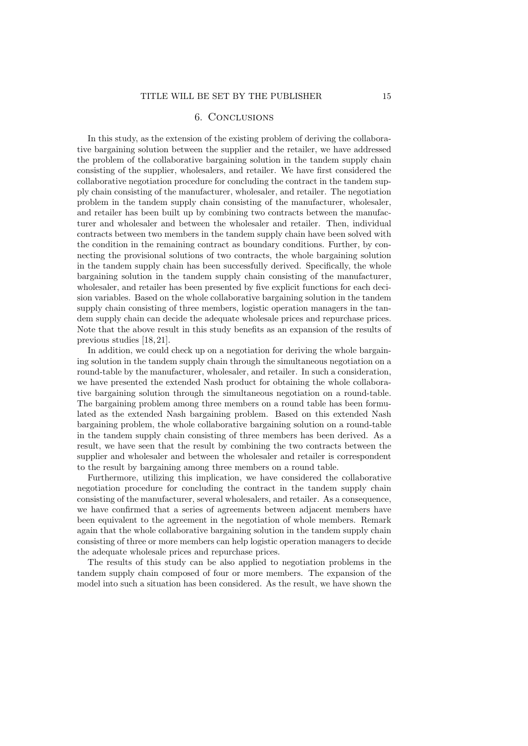#### 6. Conclusions

In this study, as the extension of the existing problem of deriving the collaborative bargaining solution between the supplier and the retailer, we have addressed the problem of the collaborative bargaining solution in the tandem supply chain consisting of the supplier, wholesalers, and retailer. We have first considered the collaborative negotiation procedure for concluding the contract in the tandem supply chain consisting of the manufacturer, wholesaler, and retailer. The negotiation problem in the tandem supply chain consisting of the manufacturer, wholesaler, and retailer has been built up by combining two contracts between the manufacturer and wholesaler and between the wholesaler and retailer. Then, individual contracts between two members in the tandem supply chain have been solved with the condition in the remaining contract as boundary conditions. Further, by connecting the provisional solutions of two contracts, the whole bargaining solution in the tandem supply chain has been successfully derived. Specifically, the whole bargaining solution in the tandem supply chain consisting of the manufacturer, wholesaler, and retailer has been presented by five explicit functions for each decision variables. Based on the whole collaborative bargaining solution in the tandem supply chain consisting of three members, logistic operation managers in the tandem supply chain can decide the adequate wholesale prices and repurchase prices. Note that the above result in this study benefits as an expansion of the results of previous studies [18, 21].

In addition, we could check up on a negotiation for deriving the whole bargaining solution in the tandem supply chain through the simultaneous negotiation on a round-table by the manufacturer, wholesaler, and retailer. In such a consideration, we have presented the extended Nash product for obtaining the whole collaborative bargaining solution through the simultaneous negotiation on a round-table. The bargaining problem among three members on a round table has been formulated as the extended Nash bargaining problem. Based on this extended Nash bargaining problem, the whole collaborative bargaining solution on a round-table in the tandem supply chain consisting of three members has been derived. As a result, we have seen that the result by combining the two contracts between the supplier and wholesaler and between the wholesaler and retailer is correspondent to the result by bargaining among three members on a round table.

Furthermore, utilizing this implication, we have considered the collaborative negotiation procedure for concluding the contract in the tandem supply chain consisting of the manufacturer, several wholesalers, and retailer. As a consequence, we have confirmed that a series of agreements between adjacent members have been equivalent to the agreement in the negotiation of whole members. Remark again that the whole collaborative bargaining solution in the tandem supply chain consisting of three or more members can help logistic operation managers to decide the adequate wholesale prices and repurchase prices.

The results of this study can be also applied to negotiation problems in the tandem supply chain composed of four or more members. The expansion of the model into such a situation has been considered. As the result, we have shown the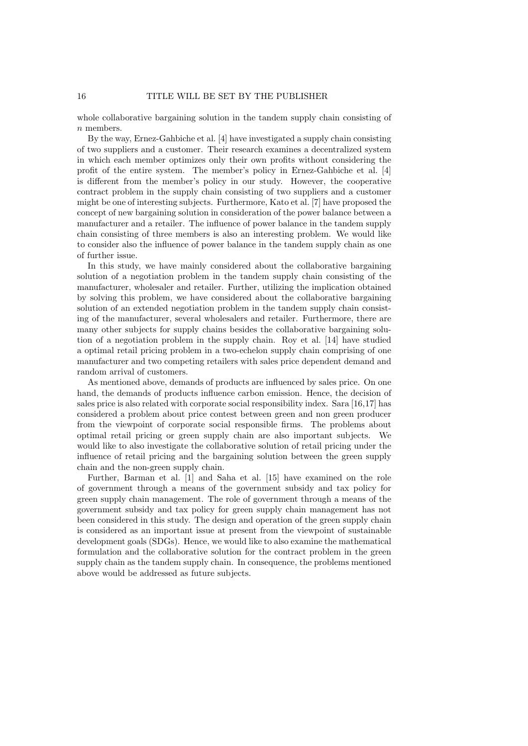whole collaborative bargaining solution in the tandem supply chain consisting of *n* members.

By the way, Ernez-Gahbiche et al. [4] have investigated a supply chain consisting of two suppliers and a customer. Their research examines a decentralized system in which each member optimizes only their own profits without considering the profit of the entire system. The member's policy in Ernez-Gahbiche et al. [4] is different from the member's policy in our study. However, the cooperative contract problem in the supply chain consisting of two suppliers and a customer might be one of interesting subjects. Furthermore, Kato et al. [7] have proposed the concept of new bargaining solution in consideration of the power balance between a manufacturer and a retailer. The influence of power balance in the tandem supply chain consisting of three members is also an interesting problem. We would like to consider also the influence of power balance in the tandem supply chain as one of further issue.

In this study, we have mainly considered about the collaborative bargaining solution of a negotiation problem in the tandem supply chain consisting of the manufacturer, wholesaler and retailer. Further, utilizing the implication obtained by solving this problem, we have considered about the collaborative bargaining solution of an extended negotiation problem in the tandem supply chain consisting of the manufacturer, several wholesalers and retailer. Furthermore, there are many other subjects for supply chains besides the collaborative bargaining solution of a negotiation problem in the supply chain. Roy et al. [14] have studied a optimal retail pricing problem in a two-echelon supply chain comprising of one manufacturer and two competing retailers with sales price dependent demand and random arrival of customers.

As mentioned above, demands of products are influenced by sales price. On one hand, the demands of products influence carbon emission. Hence, the decision of sales price is also related with corporate social responsibility index. Sara [16,17] has considered a problem about price contest between green and non green producer from the viewpoint of corporate social responsible firms. The problems about optimal retail pricing or green supply chain are also important subjects. We would like to also investigate the collaborative solution of retail pricing under the influence of retail pricing and the bargaining solution between the green supply chain and the non-green supply chain.

Further, Barman et al. [1] and Saha et al. [15] have examined on the role of government through a means of the government subsidy and tax policy for green supply chain management. The role of government through a means of the government subsidy and tax policy for green supply chain management has not been considered in this study. The design and operation of the green supply chain is considered as an important issue at present from the viewpoint of sustainable development goals (SDGs). Hence, we would like to also examine the mathematical formulation and the collaborative solution for the contract problem in the green supply chain as the tandem supply chain. In consequence, the problems mentioned above would be addressed as future subjects.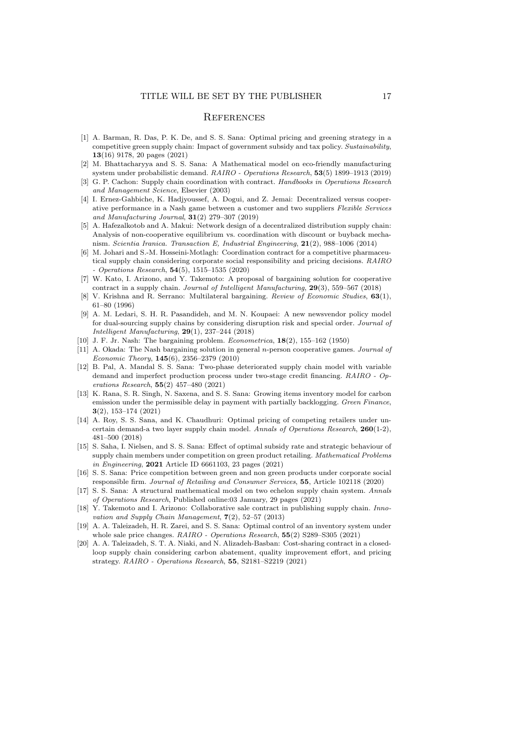#### **REFERENCES**

- [1] A. Barman, R. Das, P. K. De, and S. S. Sana: Optimal pricing and greening strategy in a competitive green supply chain: Impact of government subsidy and tax policy. *Sustainability*, **13**(16) 9178, 20 pages (2021)
- [2] M. Bhattacharyya and S. S. Sana: A Mathematical model on eco-friendly manufacturing system under probabilistic demand. *RAIRO - Operations Research*, **53**(5) 1899–1913 (2019)
- [3] G. P. Cachon: Supply chain coordination with contract. *Handbooks in Operations Research and Management Science*, Elsevier (2003)
- [4] I. Ernez-Gahbiche, K. Hadjyoussef, A. Dogui, and Z. Jemai: Decentralized versus cooperative performance in a Nash game between a customer and two suppliers *Flexible Services and Manufacturing Journal*, **31**(2) 279–307 (2019)
- [5] A. Hafezalkotob and A. Makui: Network design of a decentralized distribution supply chain: Analysis of non-cooperative equilibrium vs. coordination with discount or buyback mechanism. *Scientia Iranica. Transaction E, Industrial Engineering*, **21**(2), 988–1006 (2014)
- [6] M. Johari and S.-M. Hosseini-Motlagh: Coordination contract for a competitive pharmaceutical supply chain considering corporate social responsibility and pricing decisions. *RAIRO - Operations Research*, **54**(5), 1515–1535 (2020)
- [7] W. Kato, I. Arizono, and Y. Takemoto: A proposal of bargaining solution for cooperative contract in a supply chain. *Journal of Intelligent Manufacturing*, **29**(3), 559–567 (2018)
- [8] V. Krishna and R. Serrano: Multilateral bargaining. *Review of Economic Studies*, **63**(1), 61–80 (1996)
- [9] A. M. Ledari, S. H. R. Pasandideh, and M. N. Koupaei: A new newsvendor policy model for dual-sourcing supply chains by considering disruption risk and special order. *Journal of Intelligent Manufacturing*, **29**(1), 237–244 (2018)
- [10] J. F. Jr. Nash: The bargaining problem. *Econometrica*, **18**(2), 155–162 (1950)
- [11] A. Okada: The Nash bargaining solution in general *n*-person cooperative games. *Journal of Economic Theory*, **145**(6), 2356–2379 (2010)
- [12] B. Pal, A. Mandal S. S. Sana: Two-phase deteriorated supply chain model with variable demand and imperfect production process under two-stage credit financing. *RAIRO - Operations Research*, **55**(2) 457–480 (2021)
- [13] K. Rana, S. R. Singh, N. Saxena, and S. S. Sana: Growing items inventory model for carbon emission under the permissible delay in payment with partially backlogging. *Green Finance*, **3**(2), 153–174 (2021)
- [14] A. Roy, S. S. Sana, and K. Chaudhuri: Optimal pricing of competing retailers under uncertain demand-a two layer supply chain model. *Annals of Operations Research*, **260**(1-2), 481–500 (2018)
- [15] S. Saha, I. Nielsen, and S. S. Sana: Effect of optimal subsidy rate and strategic behaviour of supply chain members under competition on green product retailing. *Mathematical Problems in Engineering*, **2021** Article ID 6661103, 23 pages (2021)
- [16] S. S. Sana: Price competition between green and non green products under corporate social responsible firm. *Journal of Retailing and Consumer Services*, **55**, Article 102118 (2020)
- [17] S. S. Sana: A structural mathematical model on two echelon supply chain system. *Annals of Operations Research*, Published online:03 January, 29 pages (2021)
- [18] Y. Takemoto and I. Arizono: Collaborative sale contract in publishing supply chain. *Innovation and Supply Chain Management*, **7**(2), 52–57 (2013)
- [19] A. A. Taleizadeh, H. R. Zarei, and S. S. Sana: Optimal control of an inventory system under whole sale price changes. *RAIRO - Operations Research*, **55**(2) S289–S305 (2021)
- [20] A. A. Taleizadeh, S. T. A. Niaki, and N. Alizadeh-Basban: Cost-sharing contract in a closedloop supply chain considering carbon abatement, quality improvement effort, and pricing strategy. *RAIRO - Operations Research*, **55**, S2181–S2219 (2021)